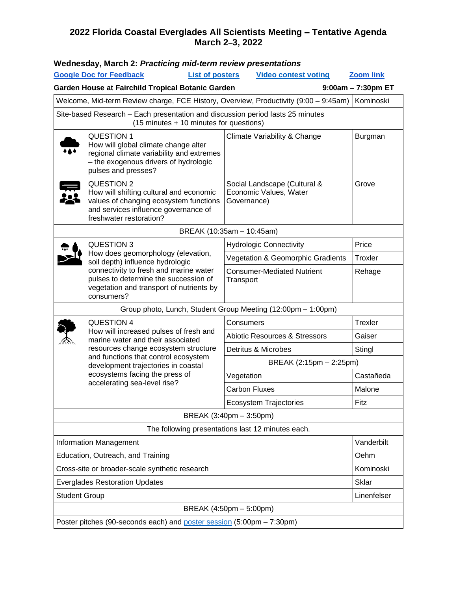#### **2022 Florida Coastal Everglades All Scientists Meeting – Tentative Agenda March 2**–**3, 2022**

|                                                                                                                           | <b>Google Doc for Feedback</b><br><b>List of posters</b>                                                                                                                                                                                                                                  | <b>Video contest voting</b>                                           |  | <b>Zoom link</b> |  |
|---------------------------------------------------------------------------------------------------------------------------|-------------------------------------------------------------------------------------------------------------------------------------------------------------------------------------------------------------------------------------------------------------------------------------------|-----------------------------------------------------------------------|--|------------------|--|
| Garden House at Fairchild Tropical Botanic Garden<br>9:00am - 7:30pm ET                                                   |                                                                                                                                                                                                                                                                                           |                                                                       |  |                  |  |
| Welcome, Mid-term Review charge, FCE History, Overview, Productivity (9:00 - 9:45am)                                      |                                                                                                                                                                                                                                                                                           |                                                                       |  |                  |  |
| Site-based Research - Each presentation and discussion period lasts 25 minutes<br>(15 minutes + 10 minutes for questions) |                                                                                                                                                                                                                                                                                           |                                                                       |  |                  |  |
|                                                                                                                           | <b>QUESTION 1</b><br>How will global climate change alter<br>regional climate variability and extremes<br>- the exogenous drivers of hydrologic<br>pulses and presses?                                                                                                                    | Climate Variability & Change                                          |  | Burgman          |  |
|                                                                                                                           | QUESTION 2<br>How will shifting cultural and economic<br>values of changing ecosystem functions<br>and services influence governance of<br>freshwater restoration?                                                                                                                        | Social Landscape (Cultural &<br>Economic Values, Water<br>Governance) |  | Grove            |  |
| BREAK (10:35am - 10:45am)                                                                                                 |                                                                                                                                                                                                                                                                                           |                                                                       |  |                  |  |
|                                                                                                                           | <b>QUESTION 3</b><br>How does geomorphology (elevation,<br>soil depth) influence hydrologic<br>connectivity to fresh and marine water<br>pulses to determine the succession of<br>vegetation and transport of nutrients by<br>consumers?                                                  | <b>Hydrologic Connectivity</b>                                        |  | Price            |  |
|                                                                                                                           |                                                                                                                                                                                                                                                                                           | Vegetation & Geomorphic Gradients                                     |  | Troxler          |  |
|                                                                                                                           |                                                                                                                                                                                                                                                                                           | <b>Consumer-Mediated Nutrient</b><br>Transport                        |  | Rehage           |  |
|                                                                                                                           | Group photo, Lunch, Student Group Meeting (12:00pm - 1:00pm)                                                                                                                                                                                                                              |                                                                       |  |                  |  |
|                                                                                                                           | <b>QUESTION 4</b><br>How will increased pulses of fresh and<br>marine water and their associated<br>resources change ecosystem structure<br>and functions that control ecosystem<br>development trajectories in coastal<br>ecosystems facing the press of<br>accelerating sea-level rise? | Consumers                                                             |  | <b>Trexler</b>   |  |
|                                                                                                                           |                                                                                                                                                                                                                                                                                           | <b>Abiotic Resources &amp; Stressors</b>                              |  | Gaiser           |  |
|                                                                                                                           |                                                                                                                                                                                                                                                                                           | Detritus & Microbes                                                   |  | Stingl           |  |
|                                                                                                                           |                                                                                                                                                                                                                                                                                           | BREAK (2:15pm - 2:25pm)                                               |  |                  |  |
|                                                                                                                           |                                                                                                                                                                                                                                                                                           | Vegetation                                                            |  | Castañeda        |  |
|                                                                                                                           |                                                                                                                                                                                                                                                                                           | <b>Carbon Fluxes</b>                                                  |  | Malone           |  |
|                                                                                                                           |                                                                                                                                                                                                                                                                                           | <b>Ecosystem Trajectories</b>                                         |  | Fitz             |  |
| BREAK (3:40pm - 3:50pm)                                                                                                   |                                                                                                                                                                                                                                                                                           |                                                                       |  |                  |  |
| The following presentations last 12 minutes each.                                                                         |                                                                                                                                                                                                                                                                                           |                                                                       |  |                  |  |
| <b>Information Management</b>                                                                                             |                                                                                                                                                                                                                                                                                           |                                                                       |  | Vanderbilt       |  |
| Education, Outreach, and Training                                                                                         |                                                                                                                                                                                                                                                                                           |                                                                       |  | Oehm             |  |
| Cross-site or broader-scale synthetic research                                                                            |                                                                                                                                                                                                                                                                                           |                                                                       |  | Kominoski        |  |
| <b>Everglades Restoration Updates</b>                                                                                     |                                                                                                                                                                                                                                                                                           |                                                                       |  | <b>Sklar</b>     |  |
| <b>Student Group</b>                                                                                                      |                                                                                                                                                                                                                                                                                           |                                                                       |  | Linenfelser      |  |
| BREAK (4:50pm - 5:00pm)                                                                                                   |                                                                                                                                                                                                                                                                                           |                                                                       |  |                  |  |
| Poster pitches (90-seconds each) and poster session (5:00pm - 7:30pm)                                                     |                                                                                                                                                                                                                                                                                           |                                                                       |  |                  |  |

## **Wednesday, March 2:** *Practicing mid-term review presentations*